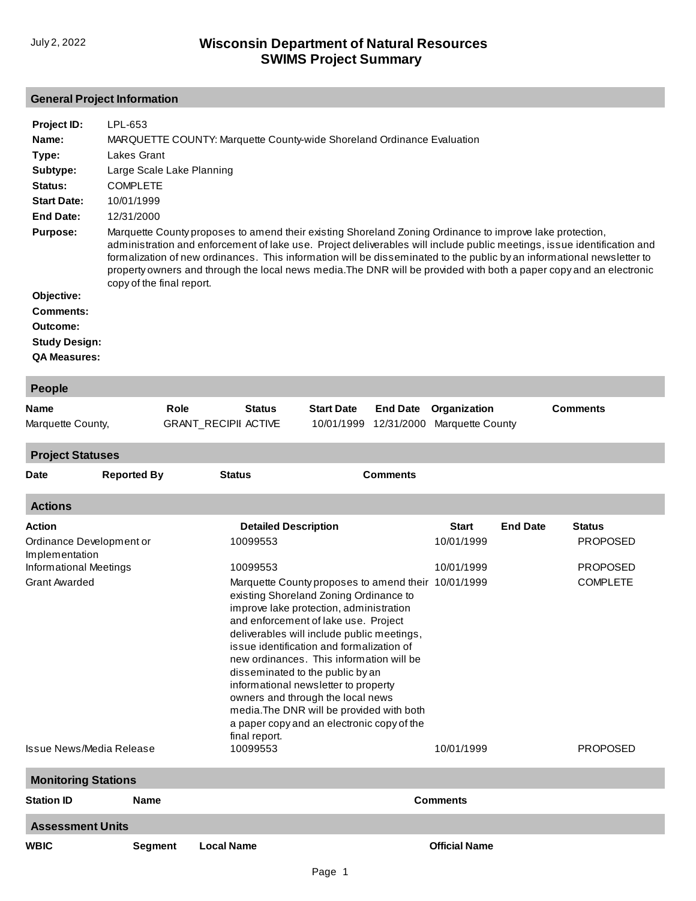#### **General Project Information**

| Project ID:<br>Name:<br>Type:<br>Subtype:<br>Status:<br><b>Start Date:</b><br><b>End Date:</b><br>Purpose:<br>Objective:<br><b>Comments:</b><br>Outcome:<br><b>Study Design:</b> | LPL-653<br><b>Lakes Grant</b><br>Large Scale Lake Planning<br><b>COMPLETE</b><br>10/01/1999<br>12/31/2000<br>copy of the final report. |                             |               |                             | MARQUETTE COUNTY: Marquette County-wide Shoreland Ordinance Evaluation                                                                                                                                                         |                 | Marquette County proposes to amend their existing Shoreland Zoning Ordinance to improve lake protection, |                 | administration and enforcement of lake use. Project deliverables will include public meetings, issue identification and<br>formalization of new ordinances. This information will be disseminated to the public by an informational newsletter to<br>property owners and through the local news media. The DNR will be provided with both a paper copy and an electronic |
|----------------------------------------------------------------------------------------------------------------------------------------------------------------------------------|----------------------------------------------------------------------------------------------------------------------------------------|-----------------------------|---------------|-----------------------------|--------------------------------------------------------------------------------------------------------------------------------------------------------------------------------------------------------------------------------|-----------------|----------------------------------------------------------------------------------------------------------|-----------------|--------------------------------------------------------------------------------------------------------------------------------------------------------------------------------------------------------------------------------------------------------------------------------------------------------------------------------------------------------------------------|
| <b>QA Measures:</b>                                                                                                                                                              |                                                                                                                                        |                             |               |                             |                                                                                                                                                                                                                                |                 |                                                                                                          |                 |                                                                                                                                                                                                                                                                                                                                                                          |
|                                                                                                                                                                                  |                                                                                                                                        |                             |               |                             |                                                                                                                                                                                                                                |                 |                                                                                                          |                 |                                                                                                                                                                                                                                                                                                                                                                          |
| People                                                                                                                                                                           |                                                                                                                                        |                             |               |                             |                                                                                                                                                                                                                                |                 |                                                                                                          |                 |                                                                                                                                                                                                                                                                                                                                                                          |
| Name                                                                                                                                                                             |                                                                                                                                        | Role                        |               | <b>Status</b>               | <b>Start Date</b>                                                                                                                                                                                                              | <b>End Date</b> | Organization                                                                                             |                 | <b>Comments</b>                                                                                                                                                                                                                                                                                                                                                          |
| Marquette County,                                                                                                                                                                |                                                                                                                                        | <b>GRANT_RECIPII ACTIVE</b> |               |                             | 10/01/1999                                                                                                                                                                                                                     | 12/31/2000      | <b>Marquette County</b>                                                                                  |                 |                                                                                                                                                                                                                                                                                                                                                                          |
| <b>Project Statuses</b>                                                                                                                                                          |                                                                                                                                        |                             |               |                             |                                                                                                                                                                                                                                |                 |                                                                                                          |                 |                                                                                                                                                                                                                                                                                                                                                                          |
| Date                                                                                                                                                                             | <b>Reported By</b>                                                                                                                     |                             | <b>Status</b> |                             |                                                                                                                                                                                                                                | <b>Comments</b> |                                                                                                          |                 |                                                                                                                                                                                                                                                                                                                                                                          |
| <b>Actions</b>                                                                                                                                                                   |                                                                                                                                        |                             |               |                             |                                                                                                                                                                                                                                |                 |                                                                                                          |                 |                                                                                                                                                                                                                                                                                                                                                                          |
| Action                                                                                                                                                                           |                                                                                                                                        |                             |               | <b>Detailed Description</b> |                                                                                                                                                                                                                                |                 | <b>Start</b>                                                                                             | <b>End Date</b> | <b>Status</b>                                                                                                                                                                                                                                                                                                                                                            |
| Ordinance Development or<br>Implementation                                                                                                                                       |                                                                                                                                        |                             |               | 10099553                    |                                                                                                                                                                                                                                |                 | 10/01/1999                                                                                               |                 | <b>PROPOSED</b>                                                                                                                                                                                                                                                                                                                                                          |
| <b>Informational Meetings</b>                                                                                                                                                    |                                                                                                                                        |                             |               | 10099553                    |                                                                                                                                                                                                                                |                 | 10/01/1999                                                                                               |                 | <b>PROPOSED</b>                                                                                                                                                                                                                                                                                                                                                          |
| <b>Grant Awarded</b>                                                                                                                                                             |                                                                                                                                        |                             |               |                             | Marquette County proposes to amend their 10/01/1999<br>existing Shoreland Zoning Ordinance to<br>improve lake protection, administration<br>and enforcement of lake use. Project<br>deliverables will include public meetings, |                 |                                                                                                          |                 | <b>COMPLETE</b>                                                                                                                                                                                                                                                                                                                                                          |

| Issue News/Media Release   |                | informational newsletter to property<br>owners and through the local news<br>media. The DNR will be provided with both<br>a paper copy and an electronic copy of the<br>final report.<br>10099553 | 10/01/1999           | <b>PROPOSED</b> |
|----------------------------|----------------|---------------------------------------------------------------------------------------------------------------------------------------------------------------------------------------------------|----------------------|-----------------|
| <b>Monitoring Stations</b> |                |                                                                                                                                                                                                   |                      |                 |
| <b>Station ID</b>          | <b>Name</b>    |                                                                                                                                                                                                   | <b>Comments</b>      |                 |
| <b>Assessment Units</b>    |                |                                                                                                                                                                                                   |                      |                 |
| <b>WBIC</b>                | <b>Segment</b> | <b>Local Name</b>                                                                                                                                                                                 | <b>Official Name</b> |                 |
|                            |                |                                                                                                                                                                                                   |                      |                 |

issue identification and formalization of new ordinances. This information will be

disseminated to the public by an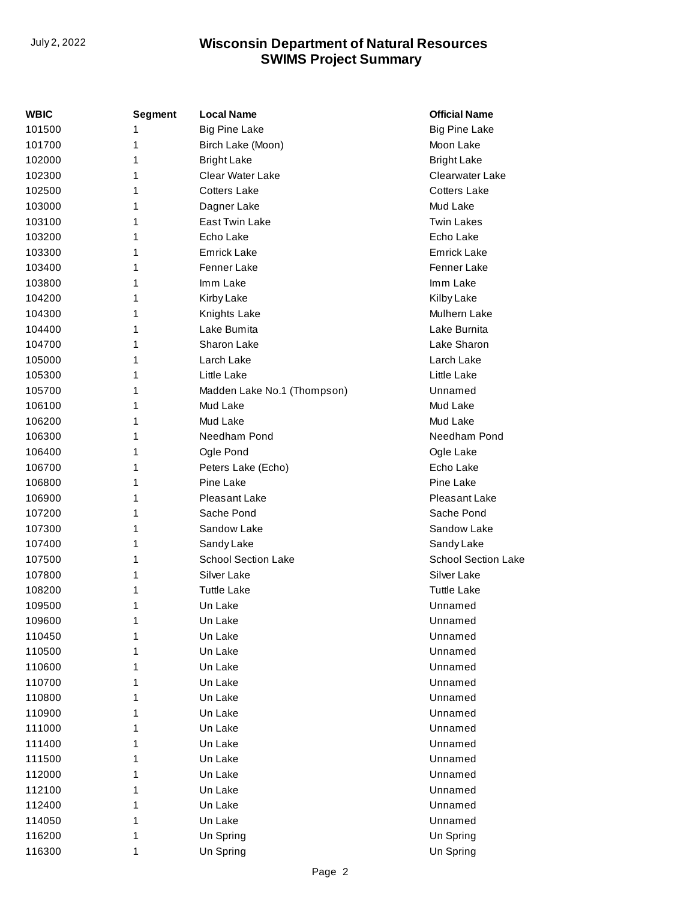| WBIC   | <b>Segment</b> | <b>Local Name</b>           | <b>Official Name</b>       |
|--------|----------------|-----------------------------|----------------------------|
| 101500 | 1              | <b>Big Pine Lake</b>        | <b>Big Pine Lake</b>       |
| 101700 | 1              | Birch Lake (Moon)           | Moon Lake                  |
| 102000 | 1              | <b>Bright Lake</b>          | <b>Bright Lake</b>         |
| 102300 | 1              | <b>Clear Water Lake</b>     | Clearwater Lake            |
| 102500 | 1              | <b>Cotters Lake</b>         | <b>Cotters Lake</b>        |
| 103000 | 1              | Dagner Lake                 | Mud Lake                   |
| 103100 | 1              | East Twin Lake              | <b>Twin Lakes</b>          |
| 103200 | 1              | Echo Lake                   | Echo Lake                  |
| 103300 | 1              | <b>Emrick Lake</b>          | Emrick Lake                |
| 103400 | 1              | <b>Fenner Lake</b>          | Fenner Lake                |
| 103800 | 1              | Imm Lake                    | Imm Lake                   |
| 104200 | 1              | Kirby Lake                  | Kilby Lake                 |
| 104300 | 1              | Knights Lake                | Mulhern Lake               |
| 104400 | 1              | Lake Bumita                 | Lake Burnita               |
| 104700 | 1              | Sharon Lake                 | Lake Sharon                |
| 105000 | 1              | Larch Lake                  | Larch Lake                 |
| 105300 | 1              | Little Lake                 | Little Lake                |
| 105700 | 1              | Madden Lake No.1 (Thompson) | Unnamed                    |
| 106100 | 1              | Mud Lake                    | Mud Lake                   |
| 106200 | 1              | Mud Lake                    | Mud Lake                   |
| 106300 | 1              | Needham Pond                | Needham Pond               |
| 106400 | 1              | Ogle Pond                   | Ogle Lake                  |
| 106700 | 1              | Peters Lake (Echo)          | Echo Lake                  |
| 106800 | 1              | Pine Lake                   | Pine Lake                  |
| 106900 | 1              | Pleasant Lake               | Pleasant Lake              |
| 107200 | 1              | Sache Pond                  | Sache Pond                 |
| 107300 | 1              | Sandow Lake                 | Sandow Lake                |
| 107400 | 1              | Sandy Lake                  | Sandy Lake                 |
| 107500 | 1              | <b>School Section Lake</b>  | <b>School Section Lake</b> |
| 107800 | 1              | Silver Lake                 | Silver Lake                |
| 108200 | 1              | Tuttle Lake                 | <b>Tuttle Lake</b>         |
| 109500 | 1              | Un Lake                     | Unnamed                    |
| 109600 | 1              | Un Lake                     | Unnamed                    |
| 110450 | 1              | Un Lake                     | Unnamed                    |
| 110500 | 1              | Un Lake                     | Unnamed                    |
| 110600 | 1              | Un Lake                     | Unnamed                    |
| 110700 | 1              | Un Lake                     | Unnamed                    |
| 110800 | 1              | Un Lake                     | Unnamed                    |
| 110900 | 1              | Un Lake                     | Unnamed                    |
| 111000 | 1              | Un Lake                     | Unnamed                    |
| 111400 | 1              | Un Lake                     | Unnamed                    |
| 111500 | 1              | Un Lake                     | Unnamed                    |
| 112000 | 1              | Un Lake                     | Unnamed                    |
| 112100 | 1              | Un Lake                     | Unnamed                    |
| 112400 | 1              | Un Lake                     | Unnamed                    |
| 114050 | 1              | Un Lake                     | Unnamed                    |
| 116200 | 1              | Un Spring                   | Un Spring                  |
| 116300 | 1              | Un Spring                   | Un Spring                  |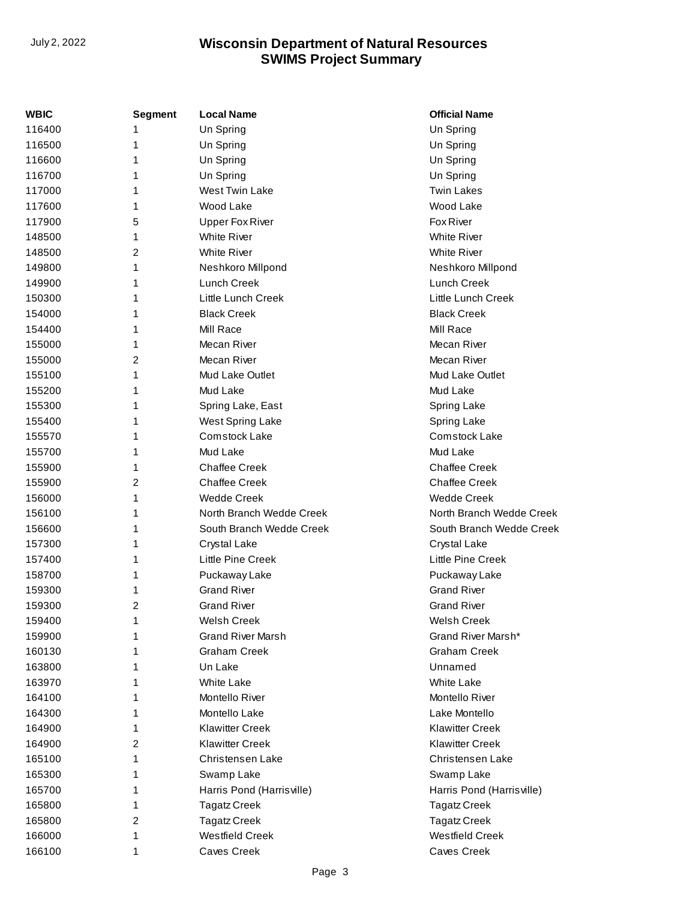| WBIC   | <b>Segment</b> | <b>Local Name</b>         | <b>Official Name</b>      |
|--------|----------------|---------------------------|---------------------------|
| 116400 | 1              | Un Spring                 | Un Spring                 |
| 116500 | 1              | Un Spring                 | Un Spring                 |
| 116600 | 1              | Un Spring                 | Un Spring                 |
| 116700 | 1              | Un Spring                 | Un Spring                 |
| 117000 | 1              | <b>West Twin Lake</b>     | <b>Twin Lakes</b>         |
| 117600 | 1              | Wood Lake                 | Wood Lake                 |
| 117900 | 5              | <b>Upper Fox River</b>    | Fox River                 |
| 148500 | 1              | <b>White River</b>        | <b>White River</b>        |
| 148500 | 2              | <b>White River</b>        | <b>White River</b>        |
| 149800 | 1              | Neshkoro Millpond         | Neshkoro Millpond         |
| 149900 | 1              | Lunch Creek               | Lunch Creek               |
| 150300 | 1              | Little Lunch Creek        | Little Lunch Creek        |
| 154000 | 1              | <b>Black Creek</b>        | <b>Black Creek</b>        |
| 154400 | 1              | Mill Race                 | Mill Race                 |
| 155000 | 1              | Mecan River               | Mecan River               |
| 155000 | 2              | Mecan River               | Mecan River               |
| 155100 | 1              | Mud Lake Outlet           | Mud Lake Outlet           |
| 155200 | 1              | Mud Lake                  | Mud Lake                  |
| 155300 | 1              | Spring Lake, East         | Spring Lake               |
| 155400 | 1              | West Spring Lake          | Spring Lake               |
| 155570 | 1              | <b>Comstock Lake</b>      | Comstock Lake             |
| 155700 | 1              | Mud Lake                  | Mud Lake                  |
| 155900 | 1              | <b>Chaffee Creek</b>      | <b>Chaffee Creek</b>      |
| 155900 | 2              | <b>Chaffee Creek</b>      | <b>Chaffee Creek</b>      |
| 156000 | 1              | <b>Wedde Creek</b>        | <b>Wedde Creek</b>        |
| 156100 | 1              | North Branch Wedde Creek  | North Branch Wedde Creek  |
| 156600 | 1              | South Branch Wedde Creek  | South Branch Wedde Creek  |
| 157300 | 1              | Crystal Lake              | Crystal Lake              |
| 157400 | 1              | Little Pine Creek         | Little Pine Creek         |
| 158700 | 1              | Puckaway Lake             | Puckaway Lake             |
| 159300 | 1              | <b>Grand River</b>        | <b>Grand River</b>        |
| 159300 | 2              | <b>Grand River</b>        | <b>Grand River</b>        |
| 159400 | 1              | Welsh Creek               | Welsh Creek               |
| 159900 | 1              | <b>Grand River Marsh</b>  | Grand River Marsh*        |
| 160130 | 1              | <b>Graham Creek</b>       | <b>Graham Creek</b>       |
| 163800 | 1              | Un Lake                   | Unnamed                   |
| 163970 | 1              | <b>White Lake</b>         | <b>White Lake</b>         |
| 164100 | 1              | Montello River            | Montello River            |
| 164300 | 1              | Montello Lake             | Lake Montello             |
| 164900 | 1              | <b>Klawitter Creek</b>    | <b>Klawitter Creek</b>    |
| 164900 | 2              | <b>Klawitter Creek</b>    | <b>Klawitter Creek</b>    |
| 165100 | 1              | Christensen Lake          | Christensen Lake          |
| 165300 | 1              | Swamp Lake                | Swamp Lake                |
| 165700 | 1              | Harris Pond (Harrisville) | Harris Pond (Harrisville) |
| 165800 | 1              | <b>Tagatz Creek</b>       | <b>Tagatz Creek</b>       |
| 165800 | 2              | <b>Tagatz Creek</b>       | <b>Tagatz Creek</b>       |
| 166000 | 1              | <b>Westfield Creek</b>    | <b>Westfield Creek</b>    |
| 166100 | 1              | <b>Caves Creek</b>        | Caves Creek               |
|        |                |                           |                           |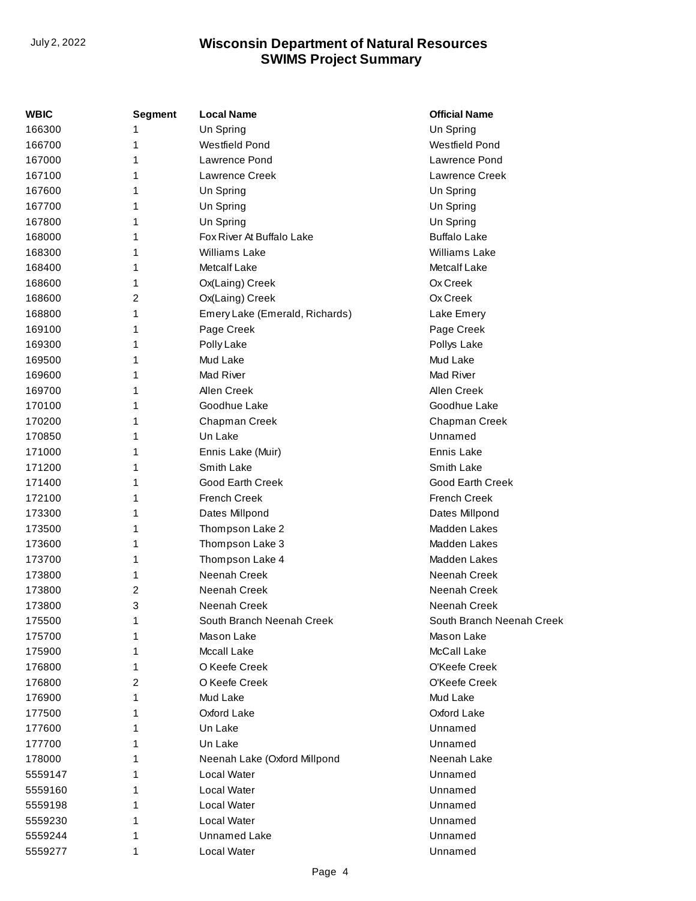| WBIC    | <b>Segment</b> | <b>Local Name</b>              | <b>Official Name</b>      |
|---------|----------------|--------------------------------|---------------------------|
| 166300  |                | Un Spring                      | Un Spring                 |
| 166700  | 1              | Westfield Pond                 | Westfield Pond            |
| 167000  | 1              | Lawrence Pond                  | Lawrence Pond             |
| 167100  | 1              | Lawrence Creek                 | Lawrence Creek            |
| 167600  | 1              | Un Spring                      | Un Spring                 |
| 167700  | 1              | Un Spring                      | Un Spring                 |
| 167800  | 1              | Un Spring                      | Un Spring                 |
| 168000  | 1              | Fox River At Buffalo Lake      | <b>Buffalo Lake</b>       |
| 168300  | 1              | <b>Williams Lake</b>           | Williams Lake             |
| 168400  | 1              | Metcalf Lake                   | Metcalf Lake              |
| 168600  | 1              | Ox(Laing) Creek                | Ox Creek                  |
| 168600  | 2              | Ox(Laing) Creek                | Ox Creek                  |
| 168800  | 1              | Emery Lake (Emerald, Richards) | Lake Emery                |
| 169100  | 1              | Page Creek                     | Page Creek                |
| 169300  | 1              | Polly Lake                     | Pollys Lake               |
| 169500  | 1              | Mud Lake                       | Mud Lake                  |
| 169600  | 1              | Mad River                      | Mad River                 |
| 169700  | 1              | Allen Creek                    | Allen Creek               |
| 170100  | 1              | Goodhue Lake                   | Goodhue Lake              |
| 170200  | 1              | Chapman Creek                  | Chapman Creek             |
| 170850  | 1              | Un Lake                        | Unnamed                   |
| 171000  | 1              | Ennis Lake (Muir)              | Ennis Lake                |
| 171200  | 1              | Smith Lake                     | Smith Lake                |
| 171400  | 1              | Good Earth Creek               | Good Earth Creek          |
| 172100  | 1              | <b>French Creek</b>            | <b>French Creek</b>       |
| 173300  | 1              | Dates Millpond                 | Dates Millpond            |
| 173500  | 1              | Thompson Lake 2                | Madden Lakes              |
| 173600  | 1              | Thompson Lake 3                | Madden Lakes              |
| 173700  | 1              | Thompson Lake 4                | Madden Lakes              |
| 173800  | 1              | Neenah Creek                   | Neenah Creek              |
| 173800  | 2              | Neenah Creek                   | Neenah Creek              |
| 173800  | 3              | Neenah Creek                   | Neenah Creek              |
| 175500  | 1              | South Branch Neenah Creek      | South Branch Neenah Creek |
| 175700  | 1              | Mason Lake                     | Mason Lake                |
| 175900  | 1              | Mccall Lake                    | McCall Lake               |
| 176800  | 1              | O Keefe Creek                  | O'Keefe Creek             |
| 176800  | 2              | O Keefe Creek                  | O'Keefe Creek             |
| 176900  | 1              | Mud Lake                       | Mud Lake                  |
| 177500  | 1              | Oxford Lake                    | Oxford Lake               |
| 177600  | 1              | Un Lake                        | Unnamed                   |
| 177700  | 1              | Un Lake                        | Unnamed                   |
| 178000  | 1              | Neenah Lake (Oxford Millpond   | Neenah Lake               |
| 5559147 | 1              | Local Water                    | Unnamed                   |
| 5559160 |                | Local Water                    | Unnamed                   |
| 5559198 | 1              | Local Water                    | Unnamed                   |
| 5559230 |                | Local Water                    | Unnamed                   |
| 5559244 | 1              | <b>Unnamed Lake</b>            | Unnamed                   |
| 5559277 | 1              | Local Water                    | Unnamed                   |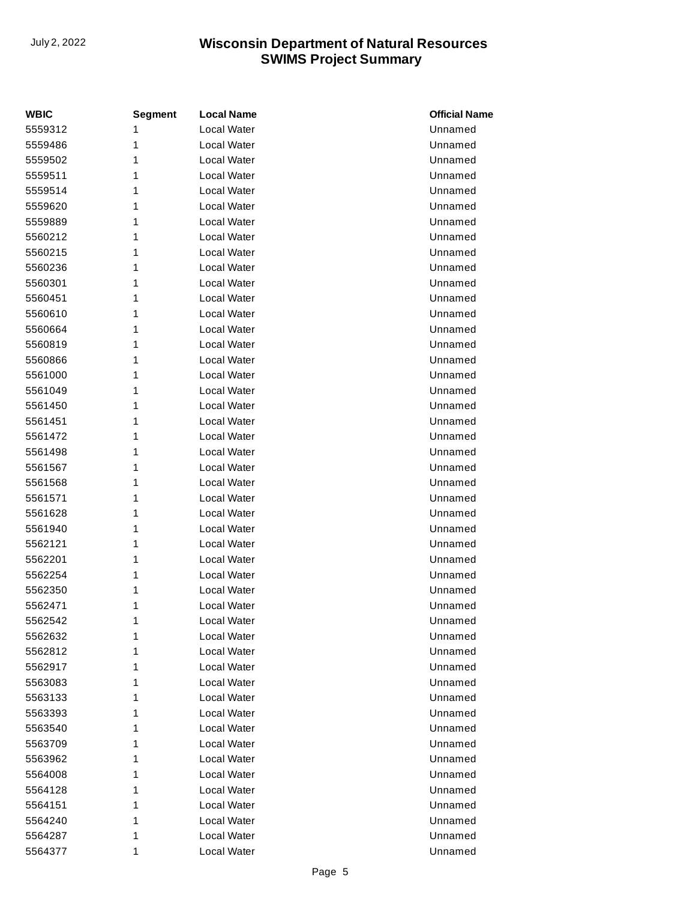| <b>WBIC</b> | <b>Segment</b> | <b>Local Name</b> | <b>Official Name</b> |
|-------------|----------------|-------------------|----------------------|
| 5559312     | 1              | Local Water       | Unnamed              |
| 5559486     | 1              | Local Water       | Unnamed              |
| 5559502     | 1              | Local Water       | Unnamed              |
| 5559511     | 1              | Local Water       | Unnamed              |
| 5559514     | 1              | Local Water       | Unnamed              |
| 5559620     | 1              | Local Water       | Unnamed              |
| 5559889     | 1              | Local Water       | Unnamed              |
| 5560212     | 1              | Local Water       | Unnamed              |
| 5560215     | 1              | Local Water       | Unnamed              |
| 5560236     | 1              | Local Water       | Unnamed              |
| 5560301     | 1              | Local Water       | Unnamed              |
| 5560451     | 1              | Local Water       | Unnamed              |
| 5560610     | 1              | Local Water       | Unnamed              |
| 5560664     | 1              | Local Water       | Unnamed              |
| 5560819     | 1              | Local Water       | Unnamed              |
| 5560866     | 1              | Local Water       | Unnamed              |
| 5561000     | 1              | Local Water       | Unnamed              |
| 5561049     | 1              | Local Water       | Unnamed              |
| 5561450     | 1              | Local Water       | Unnamed              |
| 5561451     | 1              | Local Water       | Unnamed              |
| 5561472     | 1              | Local Water       | Unnamed              |
| 5561498     | 1              | Local Water       | Unnamed              |
| 5561567     | 1              | Local Water       | Unnamed              |
| 5561568     | 1              | Local Water       | Unnamed              |
| 5561571     | 1              | Local Water       | Unnamed              |
| 5561628     | 1              | Local Water       | Unnamed              |
| 5561940     | 1              | Local Water       | Unnamed              |
| 5562121     | 1              | Local Water       | Unnamed              |
| 5562201     | 1              | Local Water       | Unnamed              |
| 5562254     | 1              | Local Water       | Unnamed              |
| 5562350     | 1              | Local Water       | Unnamed              |
| 5562471     | 1              | Local Water       | Unnamed              |
| 5562542     | 1              | Local Water       | Unnamed              |
| 5562632     | 1              | Local Water       | Unnamed              |
| 5562812     | 1              | Local Water       | Unnamed              |
| 5562917     | 1              | Local Water       | Unnamed              |
| 5563083     | 1              | Local Water       | Unnamed              |
| 5563133     | 1              | Local Water       | Unnamed              |
| 5563393     | 1              | Local Water       | Unnamed              |
| 5563540     | 1              | Local Water       | Unnamed              |
| 5563709     | 1              | Local Water       | Unnamed              |
| 5563962     | 1              | Local Water       | Unnamed              |
| 5564008     | 1              | Local Water       | Unnamed              |
| 5564128     | 1              | Local Water       | Unnamed              |
| 5564151     | 1              | Local Water       | Unnamed              |
| 5564240     | 1              | Local Water       | Unnamed              |
| 5564287     | 1              | Local Water       | Unnamed              |
| 5564377     | 1              | Local Water       | Unnamed              |